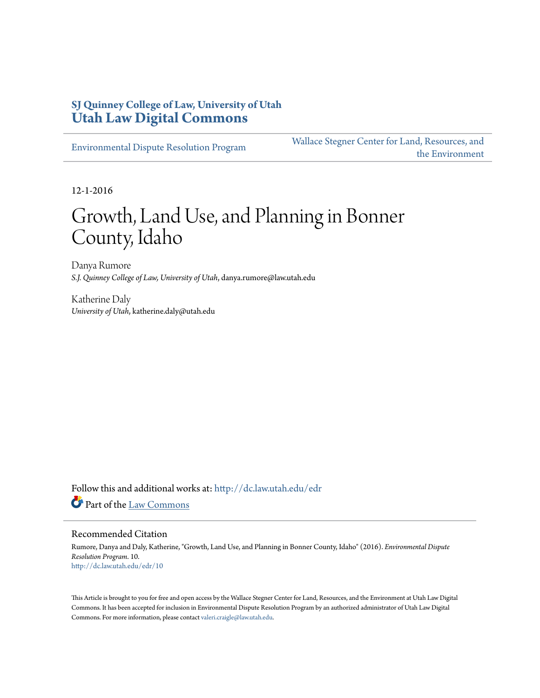#### **SJ Quinney College of Law, University of Utah [Utah Law Digital Commons](http://dc.law.utah.edu?utm_source=dc.law.utah.edu%2Fedr%2F10&utm_medium=PDF&utm_campaign=PDFCoverPages)**

[Environmental Dispute Resolution Program](http://dc.law.utah.edu/edr?utm_source=dc.law.utah.edu%2Fedr%2F10&utm_medium=PDF&utm_campaign=PDFCoverPages)

[Wallace Stegner Center for Land, Resources, and](http://dc.law.utah.edu/stegner?utm_source=dc.law.utah.edu%2Fedr%2F10&utm_medium=PDF&utm_campaign=PDFCoverPages) [the Environment](http://dc.law.utah.edu/stegner?utm_source=dc.law.utah.edu%2Fedr%2F10&utm_medium=PDF&utm_campaign=PDFCoverPages)

12-1-2016

# Growth, Land Use, and Planning in Bonner County, Idaho

Danya Rumore *S.J. Quinney College of Law, University of Utah*, danya.rumore@law.utah.edu

Katherine Daly *University of Utah*, katherine.daly@utah.edu

Follow this and additional works at: [http://dc.law.utah.edu/edr](http://dc.law.utah.edu/edr?utm_source=dc.law.utah.edu%2Fedr%2F10&utm_medium=PDF&utm_campaign=PDFCoverPages) Part of the [Law Commons](http://network.bepress.com/hgg/discipline/578?utm_source=dc.law.utah.edu%2Fedr%2F10&utm_medium=PDF&utm_campaign=PDFCoverPages)

#### Recommended Citation

Rumore, Danya and Daly, Katherine, "Growth, Land Use, and Planning in Bonner County, Idaho" (2016). *Environmental Dispute Resolution Program*. 10. [http://dc.law.utah.edu/edr/10](http://dc.law.utah.edu/edr/10?utm_source=dc.law.utah.edu%2Fedr%2F10&utm_medium=PDF&utm_campaign=PDFCoverPages)

This Article is brought to you for free and open access by the Wallace Stegner Center for Land, Resources, and the Environment at Utah Law Digital Commons. It has been accepted for inclusion in Environmental Dispute Resolution Program by an authorized administrator of Utah Law Digital Commons. For more information, please contact [valeri.craigle@law.utah.edu](mailto:valeri.craigle@law.utah.edu).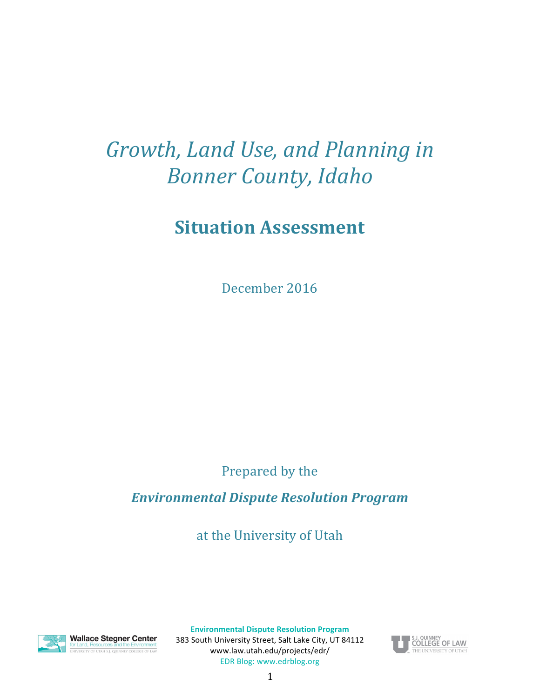# Growth, Land Use, and Planning in *Bonner County, Idaho*

# **Situation Assessment**

December 2016

Prepared by the

*Environmental Dispute Resolution Program* 

at the University of Utah



**Wallace Stegner Center** or Land, Resources and the Environment<br>INIVERSITY OF UTAH S.I. QUINNEY COLLEGE OF LAW

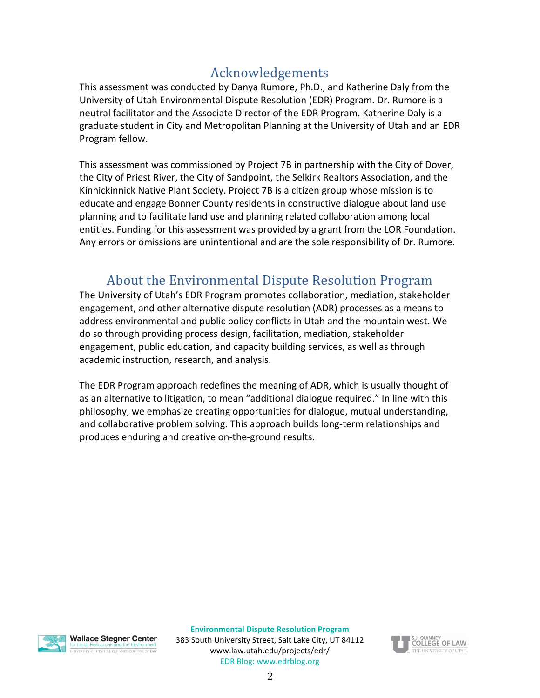# Acknowledgements

This assessment was conducted by Danya Rumore, Ph.D., and Katherine Daly from the University of Utah Environmental Dispute Resolution (EDR) Program. Dr. Rumore is a neutral facilitator and the Associate Director of the EDR Program. Katherine Daly is a graduate student in City and Metropolitan Planning at the University of Utah and an EDR Program fellow. 

This assessment was commissioned by Project 7B in partnership with the City of Dover, the City of Priest River, the City of Sandpoint, the Selkirk Realtors Association, and the Kinnickinnick Native Plant Society. Project 7B is a citizen group whose mission is to educate and engage Bonner County residents in constructive dialogue about land use planning and to facilitate land use and planning related collaboration among local entities. Funding for this assessment was provided by a grant from the LOR Foundation. Any errors or omissions are unintentional and are the sole responsibility of Dr. Rumore.

# About the Environmental Dispute Resolution Program

The University of Utah's EDR Program promotes collaboration, mediation, stakeholder engagement, and other alternative dispute resolution (ADR) processes as a means to address environmental and public policy conflicts in Utah and the mountain west. We do so through providing process design, facilitation, mediation, stakeholder engagement, public education, and capacity building services, as well as through academic instruction, research, and analysis.

The EDR Program approach redefines the meaning of ADR, which is usually thought of as an alternative to litigation, to mean "additional dialogue required." In line with this philosophy, we emphasize creating opportunities for dialogue, mutual understanding, and collaborative problem solving. This approach builds long-term relationships and produces enduring and creative on-the-ground results.



**Wallace Stegner Center** VERSITY OF LITAH S.L. OLIINNEY COLLEGE OF LAM

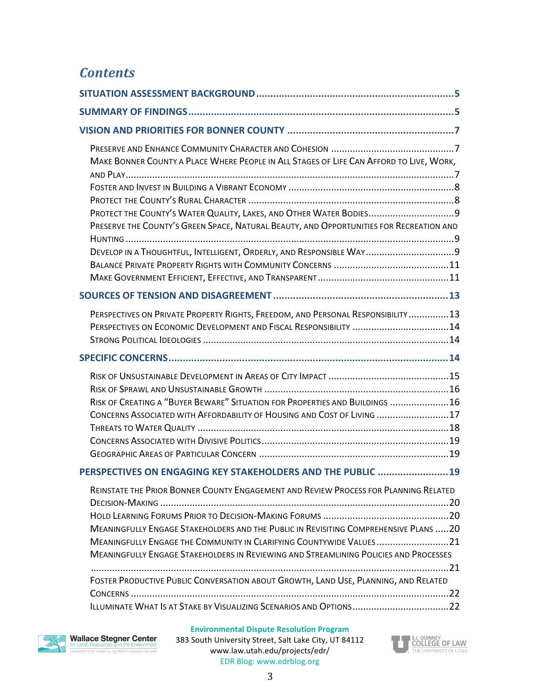## *Contents*

| MAKE BONNER COUNTY A PLACE WHERE PEOPLE IN ALL STAGES OF LIFE CAN AFFORD TO LIVE, WORK,<br>PROTECT THE COUNTY'S WATER QUALITY, LAKES, AND OTHER WATER BODIES9<br>PRESERVE THE COUNTY'S GREEN SPACE, NATURAL BEAUTY, AND OPPORTUNITIES FOR RECREATION AND<br>DEVELOP IN A THOUGHTFUL, INTELLIGENT, ORDERLY, AND RESPONSIBLE WAY 9                           |
|------------------------------------------------------------------------------------------------------------------------------------------------------------------------------------------------------------------------------------------------------------------------------------------------------------------------------------------------------------|
|                                                                                                                                                                                                                                                                                                                                                            |
| PERSPECTIVES ON PRIVATE PROPERTY RIGHTS, FREEDOM, AND PERSONAL RESPONSIBILITY13<br>PERSPECTIVES ON ECONOMIC DEVELOPMENT AND FISCAL RESPONSIBILITY 14                                                                                                                                                                                                       |
|                                                                                                                                                                                                                                                                                                                                                            |
| RISK OF CREATING A "BUYER BEWARE" SITUATION FOR PROPERTIES AND BUILDINGS 16<br>CONCERNS ASSOCIATED WITH AFFORDABILITY OF HOUSING AND COST OF LIVING  17                                                                                                                                                                                                    |
| PERSPECTIVES ON ENGAGING KEY STAKEHOLDERS AND THE PUBLIC  19                                                                                                                                                                                                                                                                                               |
| REINSTATE THE PRIOR BONNER COUNTY ENGAGEMENT AND REVIEW PROCESS FOR PLANNING RELATED<br><b>MEANINGFULLY ENGAGE STAKEHOLDERS AND THE PUBLIC IN REVISITING COMPREHENSIVE PLANS 20</b><br>MEANINGFULLY ENGAGE THE COMMUNITY IN CLARIFYING COUNTYWIDE VALUES21<br><b>MEANINGFULLY ENGAGE STAKEHOLDERS IN REVIEWING AND STREAMLINING POLICIES AND PROCESSES</b> |
|                                                                                                                                                                                                                                                                                                                                                            |
| FOSTER PRODUCTIVE PUBLIC CONVERSATION ABOUT GROWTH, LAND USE, PLANNING, AND RELATED                                                                                                                                                                                                                                                                        |



#### **Environmental Dispute Resolution Program**

383 South University Street, Salt Lake City, UT 84112 www.law.utah.edu/projects/edr/ EDR Blog: www.edrblog.org

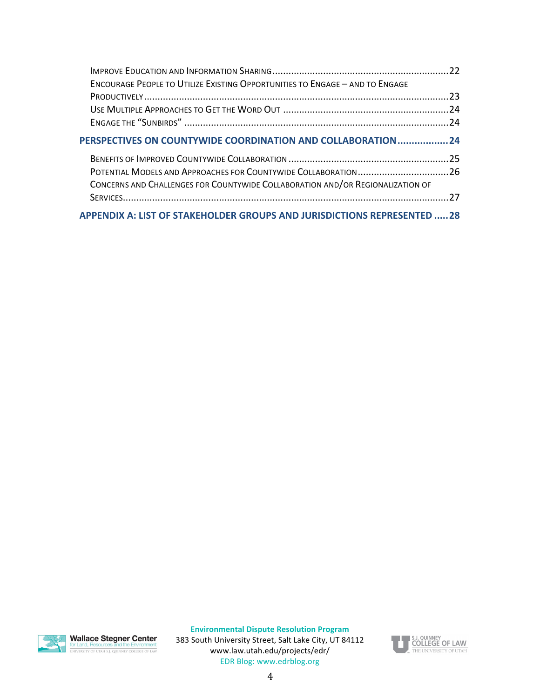<span id="page-4-0"></span>

| <b>ENCOURAGE PEOPLE TO UTILIZE EXISTING OPPORTUNITIES TO ENGAGE - AND TO ENGAGE</b> |  |
|-------------------------------------------------------------------------------------|--|
|                                                                                     |  |
|                                                                                     |  |
|                                                                                     |  |
| PERSPECTIVES ON COUNTYWIDE COORDINATION AND COLLABORATION24                         |  |
|                                                                                     |  |
|                                                                                     |  |
| CONCERNS AND CHALLENGES FOR COUNTYWIDE COLLABORATION AND/OR REGIONALIZATION OF      |  |
|                                                                                     |  |
| APPENDIX A: LIST OF STAKEHOLDER GROUPS AND JURISDICTIONS REPRESENTED 28             |  |



**Wallace Stegner Center**<br>for Land, Resources and the Environment<br>UNIVERSITY OF UTAH S.J. QUINNEY COLLEGE OF LAW

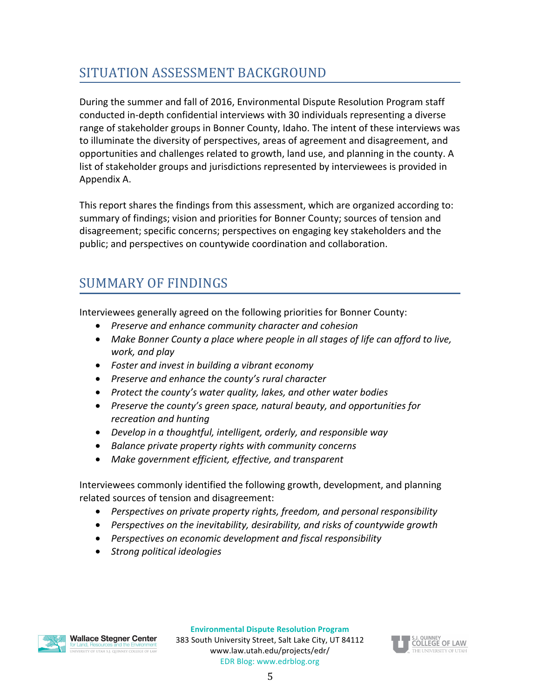# SITUATION ASSESSMENT BACKGROUND

During the summer and fall of 2016, Environmental Dispute Resolution Program staff conducted in-depth confidential interviews with 30 individuals representing a diverse range of stakeholder groups in Bonner County, Idaho. The intent of these interviews was to illuminate the diversity of perspectives, areas of agreement and disagreement, and opportunities and challenges related to growth, land use, and planning in the county. A list of stakeholder groups and jurisdictions represented by interviewees is provided in Appendix A.

This report shares the findings from this assessment, which are organized according to: summary of findings; vision and priorities for Bonner County; sources of tension and disagreement; specific concerns; perspectives on engaging key stakeholders and the public; and perspectives on countywide coordination and collaboration.

# <span id="page-5-0"></span>SUMMARY OF FINDINGS

Interviewees generally agreed on the following priorities for Bonner County:

- *Preserve and enhance community character and cohesion*
- Make Bonner County a place where people in all stages of life can afford to live, *work, and play*
- Foster and invest in building a vibrant *economy*
- *Preserve and enhance the county's rural character*
- Protect the county's water quality, lakes, and other water bodies
- Preserve the county's green space, natural beauty, and opportunities for *recreation and hunting*
- Develop in a thoughtful, intelligent, orderly, and responsible way
- *Balance private property rights with community concerns*
- Make government efficient, effective, and transparent

Interviewees commonly identified the following growth, development, and planning related sources of tension and disagreement:

- Perspectives on private property rights, freedom, and personal responsibility
- Perspectives on the inevitability, desirability, and risks of countywide growth
- Perspectives on economic development and fiscal responsibility
- *Strong political ideologies*

ERSITY OF UTAH S.J. QUINNEY COLLEGE OF LAW

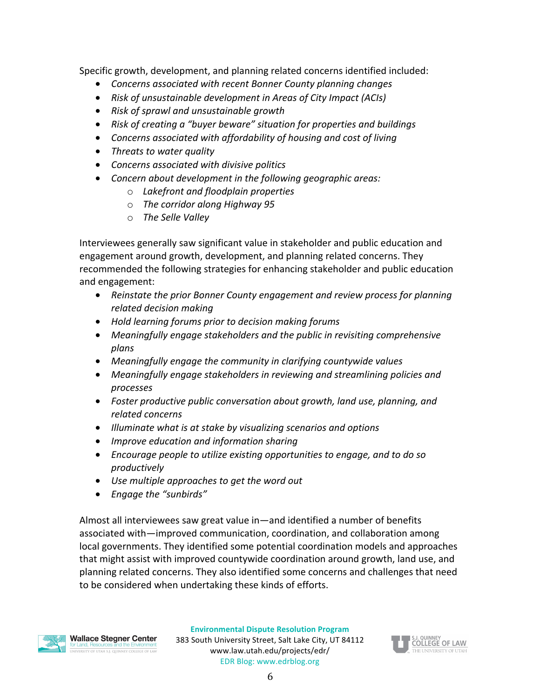Specific growth, development, and planning related concerns identified included:

- Concerns associated with recent Bonner County planning changes
- Risk of unsustainable development in Areas of City Impact (ACIs)
- *Risk of sprawl and unsustainable growth*
- Risk of creating a "buyer beware" situation for properties and buildings
- Concerns associated with affordability of housing and cost of living
- *Threats to water quality*
- *Concerns associated with divisive politics*
- Concern about development in the following geographic areas:
	- o *Lakefront and floodplain properties*
	- $\circ$  *The corridor along Highway 95*
	- o *The Selle Valley*

Interviewees generally saw significant value in stakeholder and public education and engagement around growth, development, and planning related concerns. They recommended the following strategies for enhancing stakeholder and public education and engagement:

- Reinstate the prior Bonner County engagement and review process for planning *related decision making*
- *Hold learning forums prior to decision making forums*
- Meaningfully engage stakeholders and the public in revisiting comprehensive *plans*
- Meaningfully engage the community in clarifying countywide values
- Meaningfully engage stakeholders in reviewing and streamlining policies and *processes*
- Foster productive public conversation about growth, land use, planning, and *related concerns*
- *Illuminate* what is at stake by visualizing scenarios and options
- *Improve education and information sharing*
- Encourage people to utilize existing opportunities to engage, and to do so *productively*
- Use multiple approaches to get the word out
- *Engage the "sunbirds"*

Almost all interviewees saw great value in—and identified a number of benefits associated with—improved communication, coordination, and collaboration among local governments. They identified some potential coordination models and approaches that might assist with improved countywide coordination around growth, land use, and planning related concerns. They also identified some concerns and challenges that need to be considered when undertaking these kinds of efforts.

**Wallace Stegner Center** 

VERSITY OF UTAH S.J. QUINNEY COLLEGE OF LAV

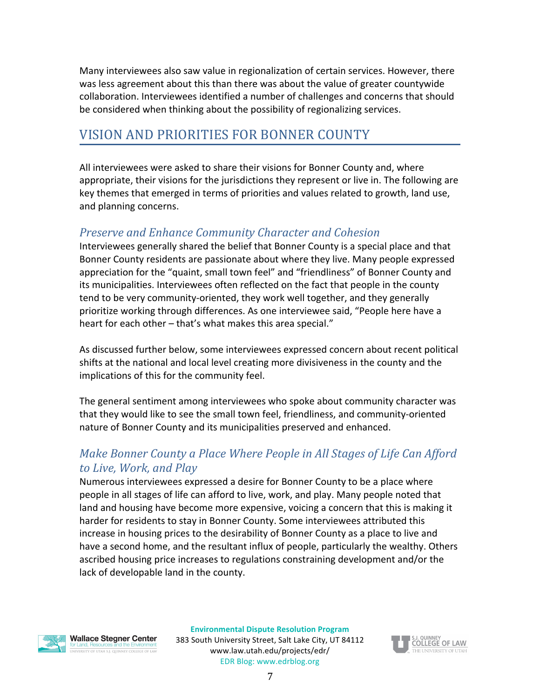Many interviewees also saw value in regionalization of certain services. However, there was less agreement about this than there was about the value of greater countywide collaboration. Interviewees identified a number of challenges and concerns that should be considered when thinking about the possibility of regionalizing services.

#### <span id="page-7-0"></span>VISION AND PRIORITIES FOR BONNER COUNTY

All interviewees were asked to share their visions for Bonner County and, where appropriate, their visions for the jurisdictions they represent or live in. The following are key themes that emerged in terms of priorities and values related to growth, land use, and planning concerns.

#### <span id="page-7-1"></span>*Preserve and Enhance Community Character and Cohesion*

Interviewees generally shared the belief that Bonner County is a special place and that Bonner County residents are passionate about where they live. Many people expressed appreciation for the "quaint, small town feel" and "friendliness" of Bonner County and its municipalities. Interviewees often reflected on the fact that people in the county tend to be very community-oriented, they work well together, and they generally prioritize working through differences. As one interviewee said, "People here have a heart for each other  $-$  that's what makes this area special."

As discussed further below, some interviewees expressed concern about recent political shifts at the national and local level creating more divisiveness in the county and the implications of this for the community feel.

The general sentiment among interviewees who spoke about community character was that they would like to see the small town feel, friendliness, and community-oriented nature of Bonner County and its municipalities preserved and enhanced.

#### <span id="page-7-2"></span>*Make Bonner County a Place Where People in All Stages of Life Can Afford to Live, Work, and Play*

Numerous interviewees expressed a desire for Bonner County to be a place where people in all stages of life can afford to live, work, and play. Many people noted that land and housing have become more expensive, voicing a concern that this is making it harder for residents to stay in Bonner County. Some interviewees attributed this increase in housing prices to the desirability of Bonner County as a place to live and have a second home, and the resultant influx of people, particularly the wealthy. Others ascribed housing price increases to regulations constraining development and/or the lack of developable land in the county.

**Wallace Stegner Center** 

INIVERSITY OF UTAH S.J. QUINNEY COLLEGE OF LAW

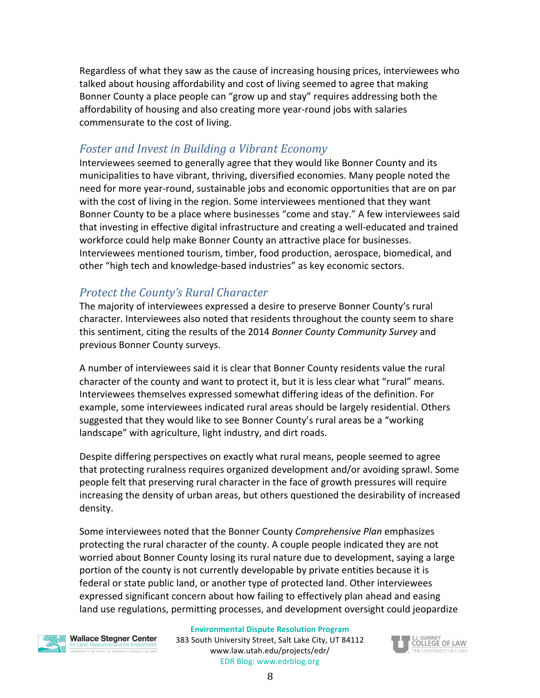Regardless of what they saw as the cause of increasing housing prices, interviewees who talked about housing affordability and cost of living seemed to agree that making Bonner County a place people can "grow up and stay" requires addressing both the affordability of housing and also creating more year-round jobs with salaries commensurate to the cost of living.

#### <span id="page-8-0"></span>*Foster and Invest in Building a Vibrant Economy*

Interviewees seemed to generally agree that they would like Bonner County and its municipalities to have vibrant, thriving, diversified economies. Many people noted the need for more year-round, sustainable jobs and economic opportunities that are on par with the cost of living in the region. Some interviewees mentioned that they want Bonner County to be a place where businesses "come and stay." A few interviewees said that investing in effective digital infrastructure and creating a well-educated and trained workforce could help make Bonner County an attractive place for businesses. Interviewees mentioned tourism, timber, food production, aerospace, biomedical, and other "high tech and knowledge-based industries" as key economic sectors.

#### <span id="page-8-1"></span>*Protect the County's Rural Character*

The majority of interviewees expressed a desire to preserve Bonner County's rural character. Interviewees also noted that residents throughout the county seem to share this sentiment, citing the results of the 2014 *Bonner County Community Survey* and previous Bonner County surveys.

A number of interviewees said it is clear that Bonner County residents value the rural character of the county and want to protect it, but it is less clear what "rural" means. Interviewees themselves expressed somewhat differing ideas of the definition. For example, some interviewees indicated rural areas should be largely residential. Others suggested that they would like to see Bonner County's rural areas be a "working landscape" with agriculture, light industry, and dirt roads.

Despite differing perspectives on exactly what rural means, people seemed to agree that protecting ruralness requires organized development and/or avoiding sprawl. Some people felt that preserving rural character in the face of growth pressures will require increasing the density of urban areas, but others questioned the desirability of increased density.

Some interviewees noted that the Bonner County Comprehensive Plan emphasizes protecting the rural character of the county. A couple people indicated they are not worried about Bonner County losing its rural nature due to development, saying a large portion of the county is not currently developable by private entities because it is federal or state public land, or another type of protected land. Other interviewees expressed significant concern about how failing to effectively plan ahead and easing land use regulations, permitting processes, and development oversight could jeopardize



**Wallace Stegner Center** VERSITY OF UTAH S.J. QUINNEY COLLEGE OF LAV

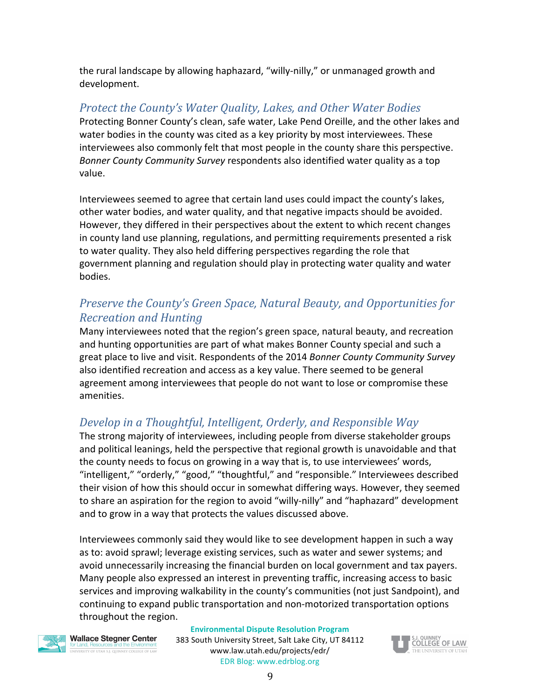the rural landscape by allowing haphazard, "willy-nilly," or unmanaged growth and development.

#### <span id="page-9-0"></span>*Protect the County's Water Quality, Lakes, and Other Water Bodies*

Protecting Bonner County's clean, safe water, Lake Pend Oreille, and the other lakes and water bodies in the county was cited as a key priority by most interviewees. These interviewees also commonly felt that most people in the county share this perspective. *Bonner County Community Survey* respondents also identified water quality as a top value. 

Interviewees seemed to agree that certain land uses could impact the county's lakes, other water bodies, and water quality, and that negative impacts should be avoided. However, they differed in their perspectives about the extent to which recent changes in county land use planning, regulations, and permitting requirements presented a risk to water quality. They also held differing perspectives regarding the role that government planning and regulation should play in protecting water quality and water bodies.

#### <span id="page-9-1"></span>*Preserve the County's Green Space, Natural Beauty, and Opportunities for Recreation and Hunting*

Many interviewees noted that the region's green space, natural beauty, and recreation and hunting opportunities are part of what makes Bonner County special and such a great place to live and visit. Respondents of the 2014 *Bonner County Community Survey* also identified recreation and access as a key value. There seemed to be general agreement among interviewees that people do not want to lose or compromise these amenities.

#### <span id="page-9-2"></span>*Develop* in a Thoughtful, Intelligent, Orderly, and Responsible Way

The strong majority of interviewees, including people from diverse stakeholder groups and political leanings, held the perspective that regional growth is unavoidable and that the county needs to focus on growing in a way that is, to use interviewees' words, "intelligent," "orderly," "good," "thoughtful," and "responsible." Interviewees described their vision of how this should occur in somewhat differing ways. However, they seemed to share an aspiration for the region to avoid "willy-nilly" and "haphazard" development and to grow in a way that protects the values discussed above.

Interviewees commonly said they would like to see development happen in such a way as to: avoid sprawl; leverage existing services, such as water and sewer systems; and avoid unnecessarily increasing the financial burden on local government and tax payers. Many people also expressed an interest in preventing traffic, increasing access to basic services and improving walkability in the county's communities (not just Sandpoint), and continuing to expand public transportation and non-motorized transportation options throughout the region.



**Wallace Stegner Center** FRSITY OF UTAH S.I. QUINNEY COLLEGE OF LAV

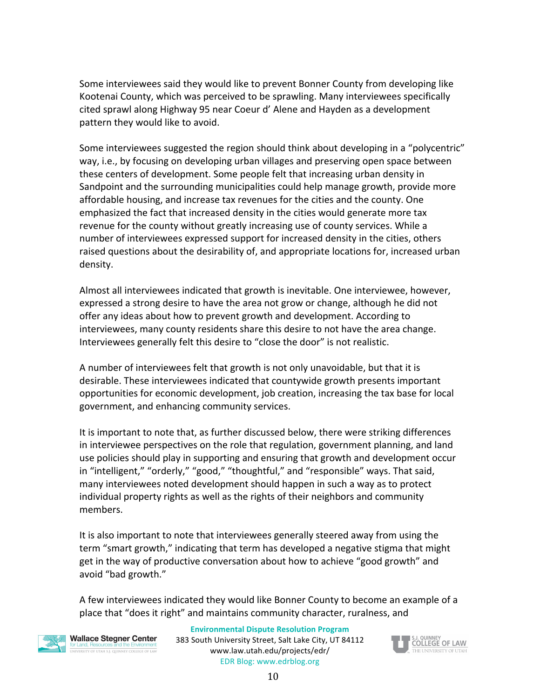Some interviewees said they would like to prevent Bonner County from developing like Kootenai County, which was perceived to be sprawling. Many interviewees specifically cited sprawl along Highway 95 near Coeur d' Alene and Hayden as a development pattern they would like to avoid.

Some interviewees suggested the region should think about developing in a "polycentric" way, i.e., by focusing on developing urban villages and preserving open space between these centers of development. Some people felt that increasing urban density in Sandpoint and the surrounding municipalities could help manage growth, provide more affordable housing, and increase tax revenues for the cities and the county. One emphasized the fact that increased density in the cities would generate more tax revenue for the county without greatly increasing use of county services. While a number of interviewees expressed support for increased density in the cities, others raised questions about the desirability of, and appropriate locations for, increased urban density.

Almost all interviewees indicated that growth is inevitable. One interviewee, however, expressed a strong desire to have the area not grow or change, although he did not offer any ideas about how to prevent growth and development. According to interviewees, many county residents share this desire to not have the area change. Interviewees generally felt this desire to "close the door" is not realistic.

A number of interviewees felt that growth is not only unavoidable, but that it is desirable. These interviewees indicated that countywide growth presents important opportunities for economic development, job creation, increasing the tax base for local government, and enhancing community services.

It is important to note that, as further discussed below, there were striking differences in interviewee perspectives on the role that regulation, government planning, and land use policies should play in supporting and ensuring that growth and development occur in "intelligent," "orderly," "good," "thoughtful," and "responsible" ways. That said, many interviewees noted development should happen in such a way as to protect individual property rights as well as the rights of their neighbors and community members. 

It is also important to note that interviewees generally steered away from using the term "smart growth," indicating that term has developed a negative stigma that might get in the way of productive conversation about how to achieve "good growth" and avoid "bad growth."

A few interviewees indicated they would like Bonner County to become an example of a place that "does it right" and maintains community character, ruralness, and



**Wallace Stegner Center** VERSITY OF UTAH S.J. QUINNEY COLLEGE OF LAV

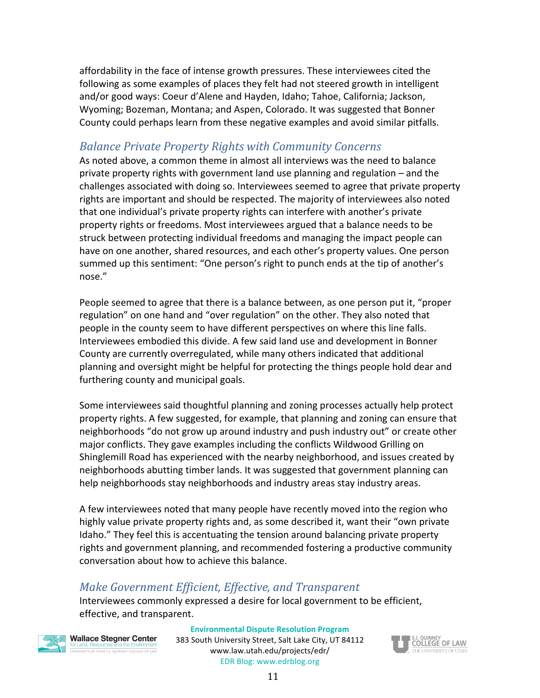affordability in the face of intense growth pressures. These interviewees cited the following as some examples of places they felt had not steered growth in intelligent and/or good ways: Coeur d'Alene and Hayden, Idaho; Tahoe, California; Jackson, Wyoming; Bozeman, Montana; and Aspen, Colorado. It was suggested that Bonner County could perhaps learn from these negative examples and avoid similar pitfalls.

#### <span id="page-11-0"></span>*Balance Private Property Rights with Community Concerns*

As noted above, a common theme in almost all interviews was the need to balance private property rights with government land use planning and regulation  $-$  and the challenges associated with doing so. Interviewees seemed to agree that private property rights are important and should be respected. The majority of interviewees also noted that one individual's private property rights can interfere with another's private property rights or freedoms. Most interviewees argued that a balance needs to be struck between protecting individual freedoms and managing the impact people can have on one another, shared resources, and each other's property values. One person summed up this sentiment: "One person's right to punch ends at the tip of another's nose." 

People seemed to agree that there is a balance between, as one person put it, "proper regulation" on one hand and "over regulation" on the other. They also noted that people in the county seem to have different perspectives on where this line falls. Interviewees embodied this divide. A few said land use and development in Bonner County are currently overregulated, while many others indicated that additional planning and oversight might be helpful for protecting the things people hold dear and furthering county and municipal goals.

Some interviewees said thoughtful planning and zoning processes actually help protect property rights. A few suggested, for example, that planning and zoning can ensure that neighborhoods "do not grow up around industry and push industry out" or create other major conflicts. They gave examples including the conflicts Wildwood Grilling on Shinglemill Road has experienced with the nearby neighborhood, and issues created by neighborhoods abutting timber lands. It was suggested that government planning can help neighborhoods stay neighborhoods and industry areas stay industry areas.

A few interviewees noted that many people have recently moved into the region who highly value private property rights and, as some described it, want their "own private Idaho." They feel this is accentuating the tension around balancing private property rights and government planning, and recommended fostering a productive community conversation about how to achieve this balance.

#### <span id="page-11-1"></span>*Make Government Efficient, Effective, and Transparent*

Interviewees commonly expressed a desire for local government to be efficient, effective, and transparent.



**Wallace Stegner Center** versity of utah s.i. quinney college of lav

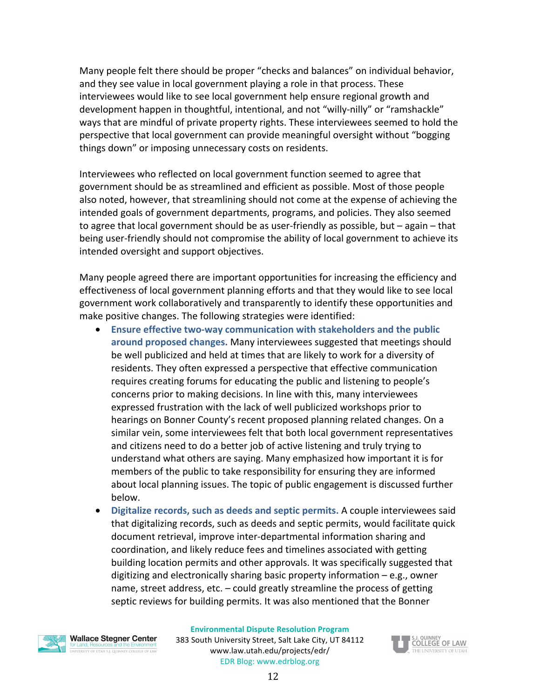Many people felt there should be proper "checks and balances" on individual behavior, and they see value in local government playing a role in that process. These interviewees would like to see local government help ensure regional growth and development happen in thoughtful, intentional, and not "willy-nilly" or "ramshackle" ways that are mindful of private property rights. These interviewees seemed to hold the perspective that local government can provide meaningful oversight without "bogging things down" or imposing unnecessary costs on residents.

Interviewees who reflected on local government function seemed to agree that government should be as streamlined and efficient as possible. Most of those people also noted, however, that streamlining should not come at the expense of achieving the intended goals of government departments, programs, and policies. They also seemed to agree that local government should be as user-friendly as possible, but  $-$  again  $-$  that being user-friendly should not compromise the ability of local government to achieve its intended oversight and support objectives.

Many people agreed there are important opportunities for increasing the efficiency and effectiveness of local government planning efforts and that they would like to see local government work collaboratively and transparently to identify these opportunities and make positive changes. The following strategies were identified:

- Ensure effective two-way communication with stakeholders and the public around proposed changes. Many interviewees suggested that meetings should be well publicized and held at times that are likely to work for a diversity of residents. They often expressed a perspective that effective communication requires creating forums for educating the public and listening to people's concerns prior to making decisions. In line with this, many interviewees expressed frustration with the lack of well publicized workshops prior to hearings on Bonner County's recent proposed planning related changes. On a similar vein, some interviewees felt that both local government representatives and citizens need to do a better job of active listening and truly trying to understand what others are saying. Many emphasized how important it is for members of the public to take responsibility for ensuring they are informed about local planning issues. The topic of public engagement is discussed further below.
- Digitalize records, such as deeds and septic permits. A couple interviewees said that digitalizing records, such as deeds and septic permits, would facilitate quick document retrieval, improve inter-departmental information sharing and coordination, and likely reduce fees and timelines associated with getting building location permits and other approvals. It was specifically suggested that digitizing and electronically sharing basic property information  $-$  e.g., owner name, street address, etc.  $-$  could greatly streamline the process of getting septic reviews for building permits. It was also mentioned that the Bonner



**Wallace Stegner Center** THE REPORT OF STATE OF THE COLLEGE OF LAW

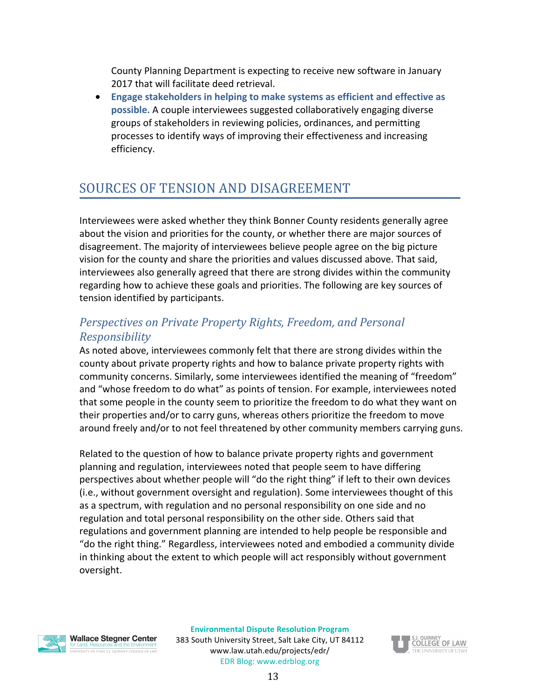County Planning Department is expecting to receive new software in January 2017 that will facilitate deed retrieval.

• Engage stakeholders in helping to make systems as efficient and effective as **possible.** A couple interviewees suggested collaboratively engaging diverse groups of stakeholders in reviewing policies, ordinances, and permitting processes to identify ways of improving their effectiveness and increasing efficiency.

## <span id="page-13-0"></span>SOURCES OF TENSION AND DISAGREEMENT

Interviewees were asked whether they think Bonner County residents generally agree about the vision and priorities for the county, or whether there are major sources of disagreement. The majority of interviewees believe people agree on the big picture vision for the county and share the priorities and values discussed above. That said, interviewees also generally agreed that there are strong divides within the community regarding how to achieve these goals and priorities. The following are key sources of tension identified by participants.

#### <span id="page-13-1"></span>*Perspectives on Private Property Rights, Freedom, and Personal Responsibility*

As noted above, interviewees commonly felt that there are strong divides within the county about private property rights and how to balance private property rights with community concerns. Similarly, some interviewees identified the meaning of "freedom" and "whose freedom to do what" as points of tension. For example, interviewees noted that some people in the county seem to prioritize the freedom to do what they want on their properties and/or to carry guns, whereas others prioritize the freedom to move around freely and/or to not feel threatened by other community members carrying guns.

Related to the question of how to balance private property rights and government planning and regulation, interviewees noted that people seem to have differing perspectives about whether people will "do the right thing" if left to their own devices (i.e., without government oversight and regulation). Some interviewees thought of this as a spectrum, with regulation and no personal responsibility on one side and no regulation and total personal responsibility on the other side. Others said that regulations and government planning are intended to help people be responsible and "do the right thing." Regardless, interviewees noted and embodied a community divide in thinking about the extent to which people will act responsibly without government oversight.

**Wallace Stegner Center** 

INIVERSITY OF UTAH S.J. QUINNEY COLLEGE OF LAV

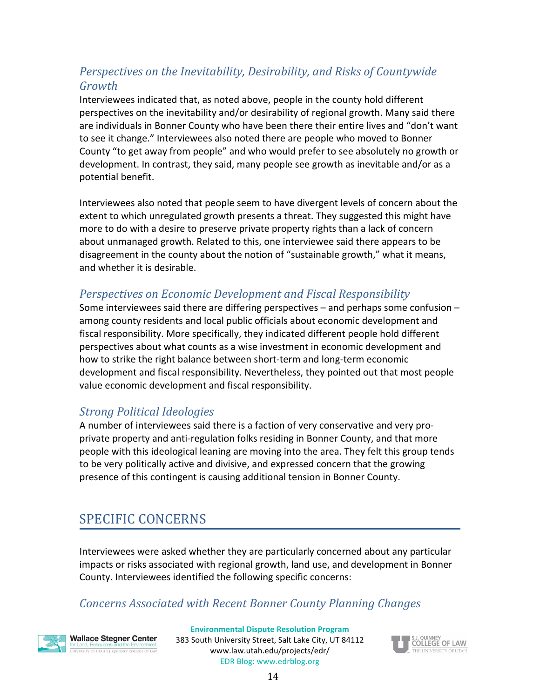### *Perspectives on the Inevitability, Desirability, and Risks of Countywide Growth*

Interviewees indicated that, as noted above, people in the county hold different perspectives on the inevitability and/or desirability of regional growth. Many said there are individuals in Bonner County who have been there their entire lives and "don't want to see it change." Interviewees also noted there are people who moved to Bonner County "to get away from people" and who would prefer to see absolutely no growth or development. In contrast, they said, many people see growth as inevitable and/or as a potential benefit. 

Interviewees also noted that people seem to have divergent levels of concern about the extent to which unregulated growth presents a threat. They suggested this might have more to do with a desire to preserve private property rights than a lack of concern about unmanaged growth. Related to this, one interviewee said there appears to be disagreement in the county about the notion of "sustainable growth," what it means, and whether it is desirable.

#### <span id="page-14-0"></span>*Perspectives on Economic Development and Fiscal Responsibility*

Some interviewees said there are differing perspectives  $-$  and perhaps some confusion  $$ among county residents and local public officials about economic development and fiscal responsibility. More specifically, they indicated different people hold different perspectives about what counts as a wise investment in economic development and how to strike the right balance between short-term and long-term economic development and fiscal responsibility. Nevertheless, they pointed out that most people value economic development and fiscal responsibility.

#### <span id="page-14-1"></span>*Strong Political Ideologies*

A number of interviewees said there is a faction of very conservative and very proprivate property and anti-regulation folks residing in Bonner County, and that more people with this ideological leaning are moving into the area. They felt this group tends to be very politically active and divisive, and expressed concern that the growing presence of this contingent is causing additional tension in Bonner County.

# <span id="page-14-2"></span>SPECIFIC CONCERNS

Interviewees were asked whether they are particularly concerned about any particular impacts or risks associated with regional growth, land use, and development in Bonner County. Interviewees identified the following specific concerns:

### *Concerns Associated with Recent Bonner County Planning Changes*



**Wallace Stegner Center** ERSITY OF UTAH S.J. QUINNEY COLLEGE OF LAW

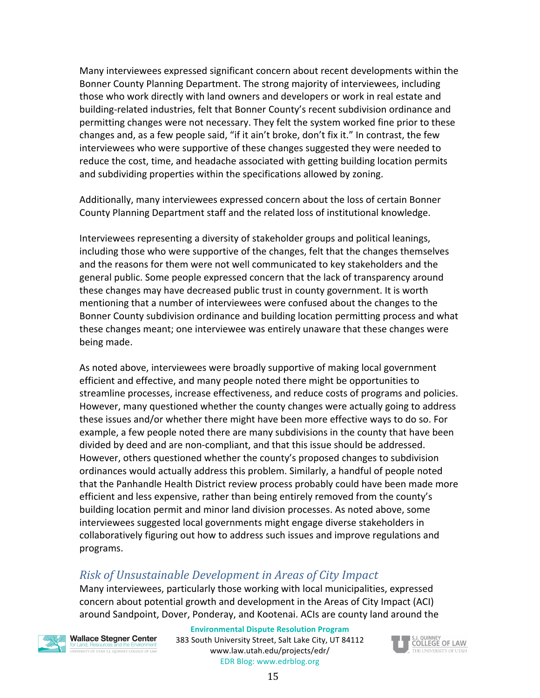Many interviewees expressed significant concern about recent developments within the Bonner County Planning Department. The strong majority of interviewees, including those who work directly with land owners and developers or work in real estate and building-related industries, felt that Bonner County's recent subdivision ordinance and permitting changes were not necessary. They felt the system worked fine prior to these changes and, as a few people said, "if it ain't broke, don't fix it." In contrast, the few interviewees who were supportive of these changes suggested they were needed to reduce the cost, time, and headache associated with getting building location permits and subdividing properties within the specifications allowed by zoning.

Additionally, many interviewees expressed concern about the loss of certain Bonner County Planning Department staff and the related loss of institutional knowledge.

Interviewees representing a diversity of stakeholder groups and political leanings, including those who were supportive of the changes, felt that the changes themselves and the reasons for them were not well communicated to key stakeholders and the general public. Some people expressed concern that the lack of transparency around these changes may have decreased public trust in county government. It is worth mentioning that a number of interviewees were confused about the changes to the Bonner County subdivision ordinance and building location permitting process and what these changes meant; one interviewee was entirely unaware that these changes were being made.

As noted above, interviewees were broadly supportive of making local government efficient and effective, and many people noted there might be opportunities to streamline processes, increase effectiveness, and reduce costs of programs and policies. However, many questioned whether the county changes were actually going to address these issues and/or whether there might have been more effective ways to do so. For example, a few people noted there are many subdivisions in the county that have been divided by deed and are non-compliant, and that this issue should be addressed. However, others questioned whether the county's proposed changes to subdivision ordinances would actually address this problem. Similarly, a handful of people noted that the Panhandle Health District review process probably could have been made more efficient and less expensive, rather than being entirely removed from the county's building location permit and minor land division processes. As noted above, some interviewees suggested local governments might engage diverse stakeholders in collaboratively figuring out how to address such issues and improve regulations and programs. 

#### <span id="page-15-0"></span>*Risk of Unsustainable Development in Areas of City Impact*

Many interviewees, particularly those working with local municipalities, expressed concern about potential growth and development in the Areas of City Impact (ACI) around Sandpoint, Dover, Ponderay, and Kootenai. ACIs are county land around the



**Wallace Stegner Center** FRSITY OF UTAH S.I. QUINNEY COLLEGE OF LAV

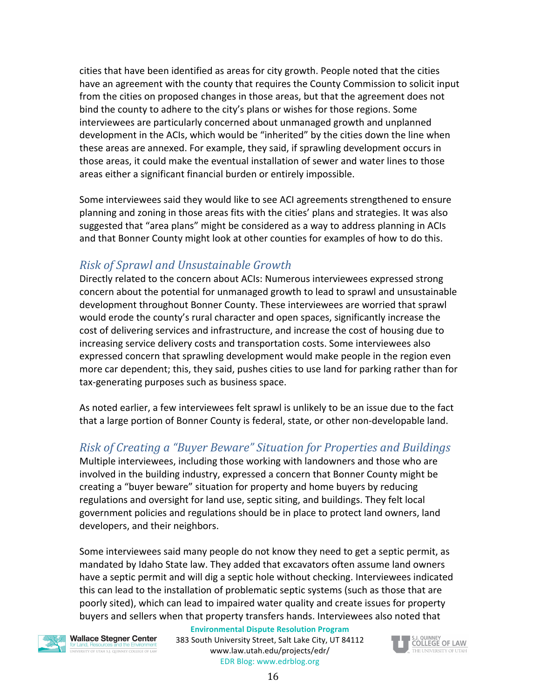cities that have been identified as areas for city growth. People noted that the cities have an agreement with the county that requires the County Commission to solicit input from the cities on proposed changes in those areas, but that the agreement does not bind the county to adhere to the city's plans or wishes for those regions. Some interviewees are particularly concerned about unmanaged growth and unplanned development in the ACIs, which would be "inherited" by the cities down the line when these areas are annexed. For example, they said, if sprawling development occurs in those areas, it could make the eventual installation of sewer and water lines to those areas either a significant financial burden or entirely impossible.

Some interviewees said they would like to see ACI agreements strengthened to ensure planning and zoning in those areas fits with the cities' plans and strategies. It was also suggested that "area plans" might be considered as a way to address planning in ACIs and that Bonner County might look at other counties for examples of how to do this.

#### <span id="page-16-0"></span>*Risk of Sprawl and Unsustainable Growth*

Directly related to the concern about ACIs: Numerous interviewees expressed strong concern about the potential for unmanaged growth to lead to sprawl and unsustainable development throughout Bonner County. These interviewees are worried that sprawl would erode the county's rural character and open spaces, significantly increase the cost of delivering services and infrastructure, and increase the cost of housing due to increasing service delivery costs and transportation costs. Some interviewees also expressed concern that sprawling development would make people in the region even more car dependent; this, they said, pushes cities to use land for parking rather than for tax-generating purposes such as business space.

As noted earlier, a few interviewees felt sprawl is unlikely to be an issue due to the fact that a large portion of Bonner County is federal, state, or other non-developable land.

#### <span id="page-16-1"></span>*Risk of Creating a "Buyer Beware" Situation for Properties and Buildings*

Multiple interviewees, including those working with landowners and those who are involved in the building industry, expressed a concern that Bonner County might be creating a "buyer beware" situation for property and home buyers by reducing regulations and oversight for land use, septic siting, and buildings. They felt local government policies and regulations should be in place to protect land owners, land developers, and their neighbors.

Some interviewees said many people do not know they need to get a septic permit, as mandated by Idaho State law. They added that excavators often assume land owners have a septic permit and will dig a septic hole without checking. Interviewees indicated this can lead to the installation of problematic septic systems (such as those that are poorly sited), which can lead to impaired water quality and create issues for property buyers and sellers when that property transfers hands. Interviewees also noted that



**Wallace Stegner Center** versity of utah s.i. quinney college of lav

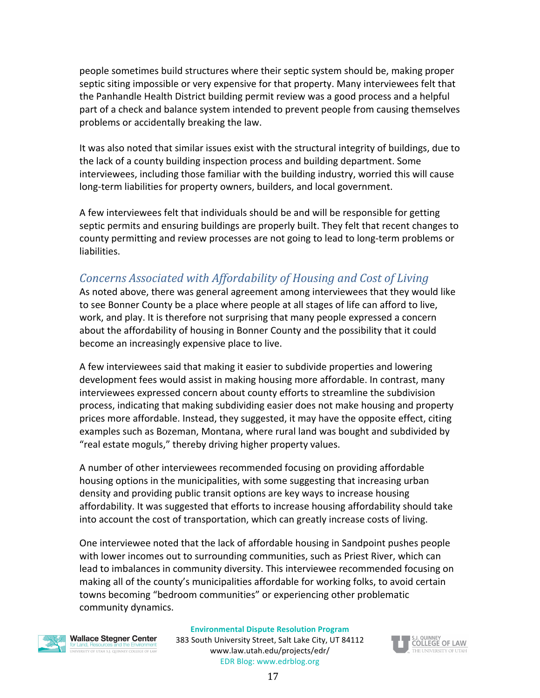people sometimes build structures where their septic system should be, making proper septic siting impossible or very expensive for that property. Many interviewees felt that the Panhandle Health District building permit review was a good process and a helpful part of a check and balance system intended to prevent people from causing themselves problems or accidentally breaking the law.

It was also noted that similar issues exist with the structural integrity of buildings, due to the lack of a county building inspection process and building department. Some interviewees, including those familiar with the building industry, worried this will cause long-term liabilities for property owners, builders, and local government.

A few interviewees felt that individuals should be and will be responsible for getting septic permits and ensuring buildings are properly built. They felt that recent changes to county permitting and review processes are not going to lead to long-term problems or liabilities. 

#### <span id="page-17-0"></span>*Concerns Associated with Affordability of Housing and Cost of Living*

As noted above, there was general agreement among interviewees that they would like to see Bonner County be a place where people at all stages of life can afford to live, work, and play. It is therefore not surprising that many people expressed a concern about the affordability of housing in Bonner County and the possibility that it could become an increasingly expensive place to live.

A few interviewees said that making it easier to subdivide properties and lowering development fees would assist in making housing more affordable. In contrast, many interviewees expressed concern about county efforts to streamline the subdivision process, indicating that making subdividing easier does not make housing and property prices more affordable. Instead, they suggested, it may have the opposite effect, citing examples such as Bozeman, Montana, where rural land was bought and subdivided by "real estate moguls," thereby driving higher property values.

A number of other interviewees recommended focusing on providing affordable housing options in the municipalities, with some suggesting that increasing urban density and providing public transit options are key ways to increase housing affordability. It was suggested that efforts to increase housing affordability should take into account the cost of transportation, which can greatly increase costs of living.

One interviewee noted that the lack of affordable housing in Sandpoint pushes people with lower incomes out to surrounding communities, such as Priest River, which can lead to imbalances in community diversity. This interviewee recommended focusing on making all of the county's municipalities affordable for working folks, to avoid certain towns becoming "bedroom communities" or experiencing other problematic community dynamics.



#### **Wallace Stegner Center** VERSITY OF UTAH S.J. QUINNEY COLLEGE OF LAV

#### **Environmental Dispute Resolution Program**

383 South University Street, Salt Lake City, UT 84112 www.law.utah.edu/projects/edr/ EDR Blog: www.edrblog.org

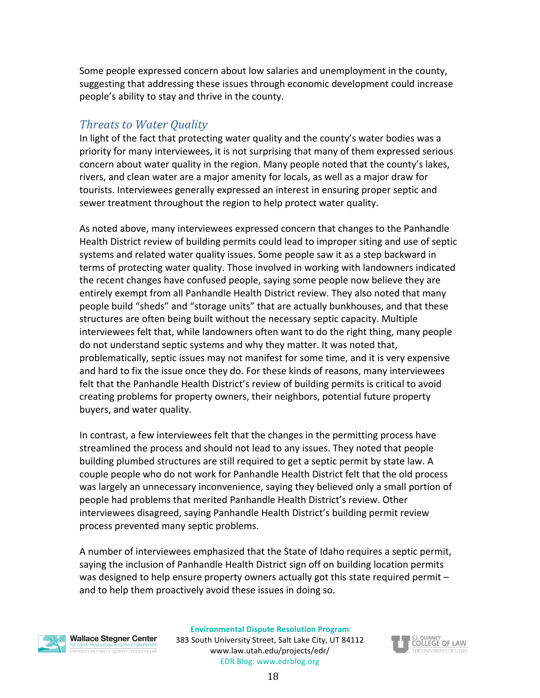Some people expressed concern about low salaries and unemployment in the county, suggesting that addressing these issues through economic development could increase people's ability to stay and thrive in the county.

#### <span id="page-18-0"></span>*Threats to Water Quality*

In light of the fact that protecting water quality and the county's water bodies was a priority for many interviewees, it is not surprising that many of them expressed serious concern about water quality in the region. Many people noted that the county's lakes, rivers, and clean water are a major amenity for locals, as well as a major draw for tourists. Interviewees generally expressed an interest in ensuring proper septic and sewer treatment throughout the region to help protect water quality.

As noted above, many interviewees expressed concern that changes to the Panhandle Health District review of building permits could lead to improper siting and use of septic systems and related water quality issues. Some people saw it as a step backward in terms of protecting water quality. Those involved in working with landowners indicated the recent changes have confused people, saying some people now believe they are entirely exempt from all Panhandle Health District review. They also noted that many people build "sheds" and "storage units" that are actually bunkhouses, and that these structures are often being built without the necessary septic capacity. Multiple interviewees felt that, while landowners often want to do the right thing, many people do not understand septic systems and why they matter. It was noted that, problematically, septic issues may not manifest for some time, and it is very expensive and hard to fix the issue once they do. For these kinds of reasons, many interviewees felt that the Panhandle Health District's review of building permits is critical to avoid creating problems for property owners, their neighbors, potential future property buyers, and water quality.

In contrast, a few interviewees felt that the changes in the permitting process have streamlined the process and should not lead to any issues. They noted that people building plumbed structures are still required to get a septic permit by state law. A couple people who do not work for Panhandle Health District felt that the old process was largely an unnecessary inconvenience, saying they believed only a small portion of people had problems that merited Panhandle Health District's review. Other interviewees disagreed, saying Panhandle Health District's building permit review process prevented many septic problems.

A number of interviewees emphasized that the State of Idaho requires a septic permit, saying the inclusion of Panhandle Health District sign off on building location permits was designed to help ensure property owners actually got this state required permit  $$ and to help them proactively avoid these issues in doing so.



**Wallace Stegner Center** 

INIVERSITY OF UTAH S.J. QUINNEY COLLEGE OF LAV

**Environmental Dispute Resolution Program**

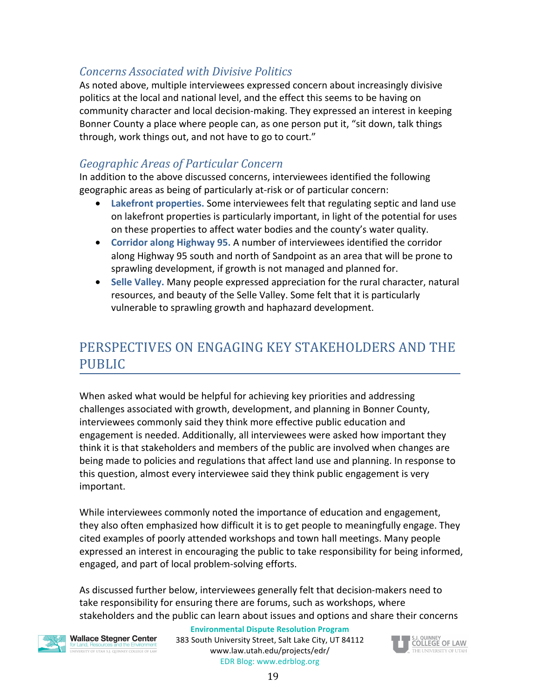#### <span id="page-19-0"></span>*Concerns Associated with Divisive Politics*

As noted above, multiple interviewees expressed concern about increasingly divisive politics at the local and national level, and the effect this seems to be having on community character and local decision-making. They expressed an interest in keeping Bonner County a place where people can, as one person put it, "sit down, talk things through, work things out, and not have to go to court."

#### <span id="page-19-1"></span>*Geographic Areas of Particular Concern*

In addition to the above discussed concerns, interviewees identified the following geographic areas as being of particularly at-risk or of particular concern:

- Lakefront properties. Some interviewees felt that regulating septic and land use on lakefront properties is particularly important, in light of the potential for uses on these properties to affect water bodies and the county's water quality.
- Corridor along Highway 95. A number of interviewees identified the corridor along Highway 95 south and north of Sandpoint as an area that will be prone to sprawling development, if growth is not managed and planned for.
- Selle Valley. Many people expressed appreciation for the rural character, natural resources, and beauty of the Selle Valley. Some felt that it is particularly vulnerable to sprawling growth and haphazard development.

# <span id="page-19-2"></span>PERSPECTIVES ON ENGAGING KEY STAKEHOLDERS AND THE PUBLIC

When asked what would be helpful for achieving key priorities and addressing challenges associated with growth, development, and planning in Bonner County, interviewees commonly said they think more effective public education and engagement is needed. Additionally, all interviewees were asked how important they think it is that stakeholders and members of the public are involved when changes are being made to policies and regulations that affect land use and planning. In response to this question, almost every interviewee said they think public engagement is very important. 

While interviewees commonly noted the importance of education and engagement, they also often emphasized how difficult it is to get people to meaningfully engage. They cited examples of poorly attended workshops and town hall meetings. Many people expressed an interest in encouraging the public to take responsibility for being informed, engaged, and part of local problem-solving efforts.

As discussed further below, interviewees generally felt that decision-makers need to take responsibility for ensuring there are forums, such as workshops, where stakeholders and the public can learn about issues and options and share their concerns



**Wallace Stegner Center** ersity of utah s.i. quinney college of lav

#### **Environmental Dispute Resolution Program**

383 South University Street, Salt Lake City, UT 84112 www.law.utah.edu/projects/edr/ EDR Blog: www.edrblog.org

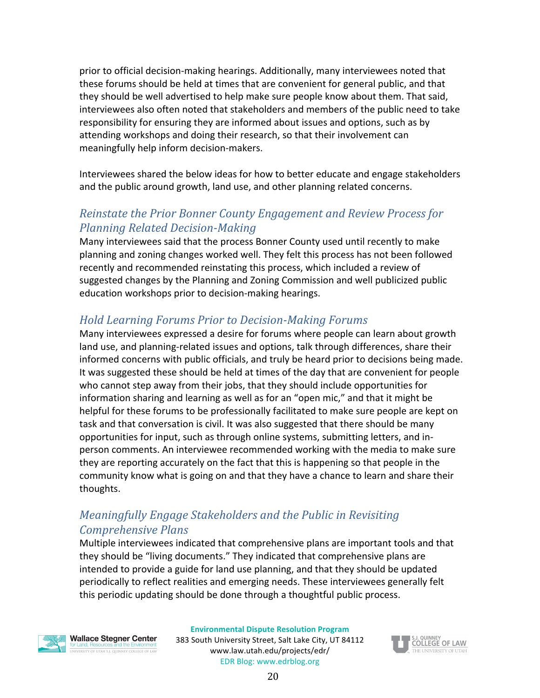prior to official decision-making hearings. Additionally, many interviewees noted that these forums should be held at times that are convenient for general public, and that they should be well advertised to help make sure people know about them. That said, interviewees also often noted that stakeholders and members of the public need to take responsibility for ensuring they are informed about issues and options, such as by attending workshops and doing their research, so that their involvement can meaningfully help inform decision-makers.

Interviewees shared the below ideas for how to better educate and engage stakeholders and the public around growth, land use, and other planning related concerns.

#### <span id="page-20-0"></span>*Reinstate the Prior Bonner County Engagement and Review Process for Planning Related Decision-Making*

Many interviewees said that the process Bonner County used until recently to make planning and zoning changes worked well. They felt this process has not been followed recently and recommended reinstating this process, which included a review of suggested changes by the Planning and Zoning Commission and well publicized public education workshops prior to decision-making hearings.

#### <span id="page-20-1"></span>*Hold Learning Forums Prior to Decision-Making Forums*

Many interviewees expressed a desire for forums where people can learn about growth land use, and planning-related issues and options, talk through differences, share their informed concerns with public officials, and truly be heard prior to decisions being made. It was suggested these should be held at times of the day that are convenient for people who cannot step away from their jobs, that they should include opportunities for information sharing and learning as well as for an "open mic," and that it might be helpful for these forums to be professionally facilitated to make sure people are kept on task and that conversation is civil. It was also suggested that there should be many opportunities for input, such as through online systems, submitting letters, and inperson comments. An interviewee recommended working with the media to make sure they are reporting accurately on the fact that this is happening so that people in the community know what is going on and that they have a chance to learn and share their thoughts.

#### <span id="page-20-2"></span>*Meaningfully Engage Stakeholders and the Public in Revisiting Comprehensive Plans*

Multiple interviewees indicated that comprehensive plans are important tools and that they should be "living documents." They indicated that comprehensive plans are intended to provide a guide for land use planning, and that they should be updated periodically to reflect realities and emerging needs. These interviewees generally felt this periodic updating should be done through a thoughtful public process.



**Wallace Stegner Center** UNIVERSITY OF UTAH S.J. QUINNEY COLLEGE OF LAV

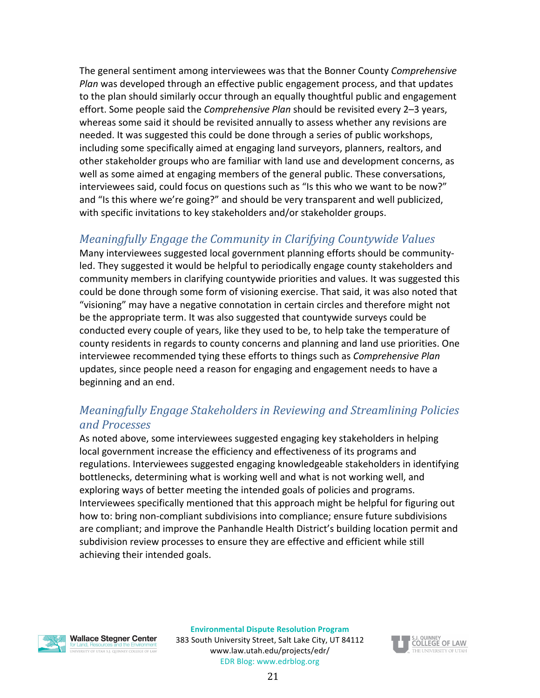The general sentiment among interviewees was that the Bonner County Comprehensive *Plan* was developed through an effective public engagement process, and that updates to the plan should similarly occur through an equally thoughtful public and engagement effort. Some people said the *Comprehensive Plan* should be revisited every 2–3 years, whereas some said it should be revisited annually to assess whether any revisions are needed. It was suggested this could be done through a series of public workshops, including some specifically aimed at engaging land surveyors, planners, realtors, and other stakeholder groups who are familiar with land use and development concerns, as well as some aimed at engaging members of the general public. These conversations, interviewees said, could focus on questions such as "Is this who we want to be now?" and "Is this where we're going?" and should be very transparent and well publicized, with specific invitations to key stakeholders and/or stakeholder groups.

#### <span id="page-21-0"></span>*Meaningfully Engage the Community in Clarifying Countywide Values*

Many interviewees suggested local government planning efforts should be communityled. They suggested it would be helpful to periodically engage county stakeholders and community members in clarifying countywide priorities and values. It was suggested this could be done through some form of visioning exercise. That said, it was also noted that "visioning" may have a negative connotation in certain circles and therefore might not be the appropriate term. It was also suggested that countywide surveys could be conducted every couple of years, like they used to be, to help take the temperature of county residents in regards to county concerns and planning and land use priorities. One interviewee recommended tying these efforts to things such as *Comprehensive Plan* updates, since people need a reason for engaging and engagement needs to have a beginning and an end.

#### <span id="page-21-1"></span>*Meaningfully Engage Stakeholders in Reviewing and Streamlining Policies and Processes*

As noted above, some interviewees suggested engaging key stakeholders in helping local government increase the efficiency and effectiveness of its programs and regulations. Interviewees suggested engaging knowledgeable stakeholders in identifying bottlenecks, determining what is working well and what is not working well, and exploring ways of better meeting the intended goals of policies and programs. Interviewees specifically mentioned that this approach might be helpful for figuring out how to: bring non-compliant subdivisions into compliance; ensure future subdivisions are compliant; and improve the Panhandle Health District's building location permit and subdivision review processes to ensure they are effective and efficient while still achieving their intended goals.

**Wallace Stegner Center** 

INTERNATION CONTROL OF THE REPORT OF LAW

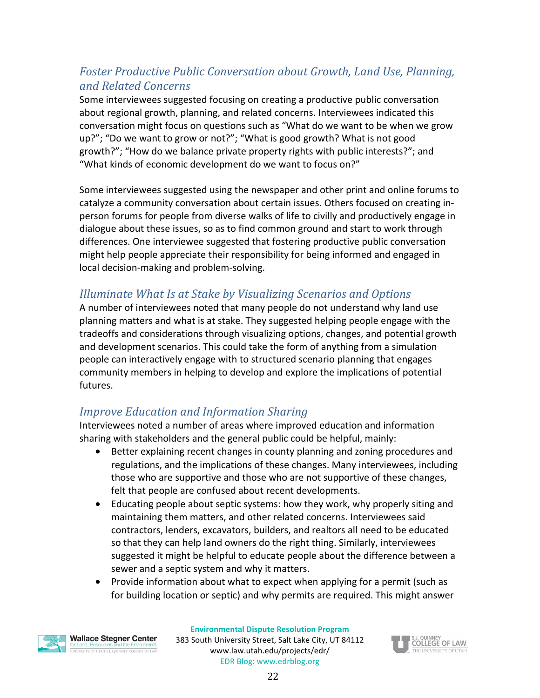### <span id="page-22-0"></span>Foster Productive Public Conversation about Growth, Land Use, Planning, *and Related Concerns*

Some interviewees suggested focusing on creating a productive public conversation about regional growth, planning, and related concerns. Interviewees indicated this conversation might focus on questions such as "What do we want to be when we grow up?"; "Do we want to grow or not?"; "What is good growth? What is not good growth?"; "How do we balance private property rights with public interests?"; and "What kinds of economic development do we want to focus on?"

Some interviewees suggested using the newspaper and other print and online forums to catalyze a community conversation about certain issues. Others focused on creating inperson forums for people from diverse walks of life to civilly and productively engage in dialogue about these issues, so as to find common ground and start to work through differences. One interviewee suggested that fostering productive public conversation might help people appreciate their responsibility for being informed and engaged in local decision-making and problem-solving.

### <span id="page-22-1"></span>*Illuminate What Is at Stake by Visualizing Scenarios and Options*

A number of interviewees noted that many people do not understand why land use planning matters and what is at stake. They suggested helping people engage with the tradeoffs and considerations through visualizing options, changes, and potential growth and development scenarios. This could take the form of anything from a simulation people can interactively engage with to structured scenario planning that engages community members in helping to develop and explore the implications of potential futures.

### <span id="page-22-2"></span>*Improve Education and Information Sharing*

Interviewees noted a number of areas where improved education and information sharing with stakeholders and the general public could be helpful, mainly:

- Better explaining recent changes in county planning and zoning procedures and regulations, and the implications of these changes. Many interviewees, including those who are supportive and those who are not supportive of these changes, felt that people are confused about recent developments.
- Educating people about septic systems: how they work, why properly siting and maintaining them matters, and other related concerns. Interviewees said contractors, lenders, excavators, builders, and realtors all need to be educated so that they can help land owners do the right thing. Similarly, interviewees suggested it might be helpful to educate people about the difference between a sewer and a septic system and why it matters.
- Provide information about what to expect when applying for a permit (such as for building location or septic) and why permits are required. This might answer



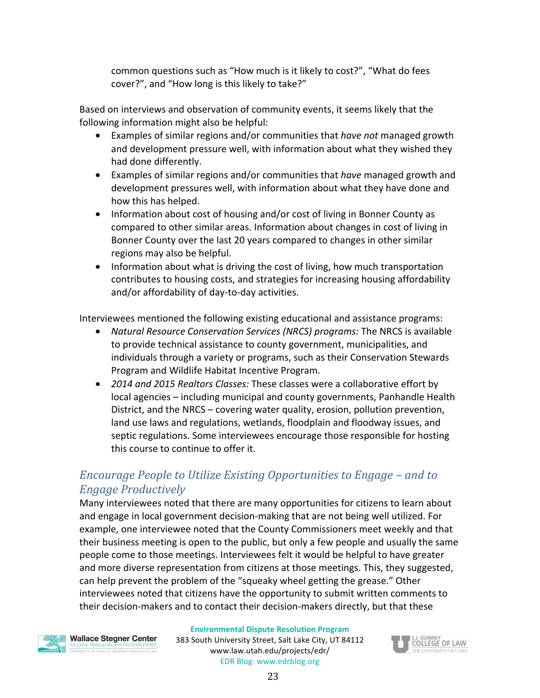common questions such as "How much is it likely to cost?", "What do fees cover?", and "How long is this likely to take?"

Based on interviews and observation of community events, it seems likely that the following information might also be helpful:

- Examples of similar regions and/or communities that *have not* managed growth and development pressure well, with information about what they wished they had done differently.
- Examples of similar regions and/or communities that *have* managed growth and development pressures well, with information about what they have done and how this has helped.
- Information about cost of housing and/or cost of living in Bonner County as compared to other similar areas. Information about changes in cost of living in Bonner County over the last 20 years compared to changes in other similar regions may also be helpful.
- Information about what is driving the cost of living, how much transportation contributes to housing costs, and strategies for increasing housing affordability and/or affordability of day-to-day activities.

Interviewees mentioned the following existing educational and assistance programs:

- *Natural Resource Conservation Services (NRCS) programs:* The NRCS is available to provide technical assistance to county government, municipalities, and individuals through a variety or programs, such as their Conservation Stewards Program and Wildlife Habitat Incentive Program.
- 2014 and 2015 Realtors Classes: These classes were a collaborative effort by local agencies – including municipal and county governments, Panhandle Health District, and the NRCS – covering water quality, erosion, pollution prevention, land use laws and regulations, wetlands, floodplain and floodway issues, and septic regulations. Some interviewees encourage those responsible for hosting this course to continue to offer it.

#### <span id="page-23-0"></span>*Encourage People to Utilize Existing Opportunities to Engage – and to Engage Productively*

Many interviewees noted that there are many opportunities for citizens to learn about and engage in local government decision-making that are not being well utilized. For example, one interviewee noted that the County Commissioners meet weekly and that their business meeting is open to the public, but only a few people and usually the same people come to those meetings. Interviewees felt it would be helpful to have greater and more diverse representation from citizens at those meetings. This, they suggested, can help prevent the problem of the "squeaky wheel getting the grease." Other interviewees noted that citizens have the opportunity to submit written comments to their decision-makers and to contact their decision-makers directly, but that these



INTERNATION CONTROL OF THE REPORT OF LAW

**Environmental Dispute Resolution Program**

383 South University Street, Salt Lake City, UT 84112 www.law.utah.edu/projects/edr/ EDR Blog: www.edrblog.org

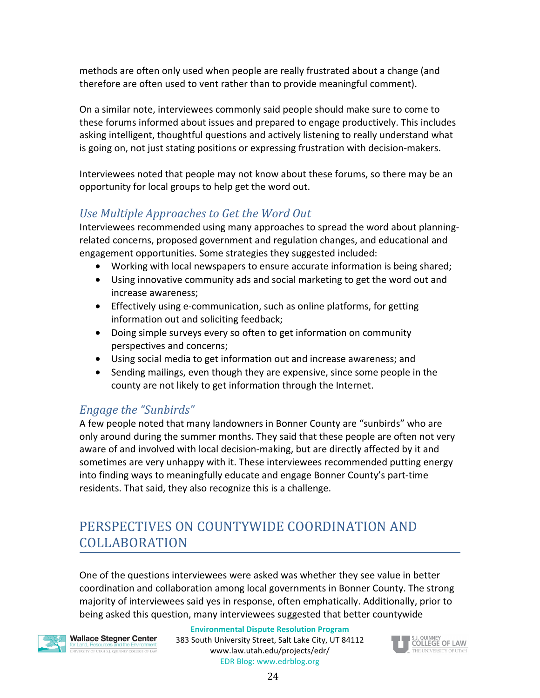methods are often only used when people are really frustrated about a change (and therefore are often used to vent rather than to provide meaningful comment).

On a similar note, interviewees commonly said people should make sure to come to these forums informed about issues and prepared to engage productively. This includes asking intelligent, thoughtful questions and actively listening to really understand what is going on, not just stating positions or expressing frustration with decision-makers.

Interviewees noted that people may not know about these forums, so there may be an opportunity for local groups to help get the word out.

#### <span id="page-24-0"></span>Use Multiple *Approaches* to Get the Word Out

Interviewees recommended using many approaches to spread the word about planningrelated concerns, proposed government and regulation changes, and educational and engagement opportunities. Some strategies they suggested included:

- Working with local newspapers to ensure accurate information is being shared;
- Using innovative community ads and social marketing to get the word out and increase awareness;
- Effectively using e-communication, such as online platforms, for getting information out and soliciting feedback;
- Doing simple surveys every so often to get information on community perspectives and concerns;
- Using social media to get information out and increase awareness; and
- Sending mailings, even though they are expensive, since some people in the county are not likely to get information through the Internet.

#### <span id="page-24-1"></span>*Engage the "Sunbirds"*

A few people noted that many landowners in Bonner County are "sunbirds" who are only around during the summer months. They said that these people are often not very aware of and involved with local decision-making, but are directly affected by it and sometimes are very unhappy with it. These interviewees recommended putting energy into finding ways to meaningfully educate and engage Bonner County's part-time residents. That said, they also recognize this is a challenge.

# <span id="page-24-2"></span>PERSPECTIVES ON COUNTYWIDE COORDINATION AND COLLABORATION

One of the questions interviewees were asked was whether they see value in better coordination and collaboration among local governments in Bonner County. The strong majority of interviewees said yes in response, often emphatically. Additionally, prior to being asked this question, many interviewees suggested that better countywide

**Wallace Stegner Center** ERSITY OF UTAH S.I. QUINNEY COLLEGE OF LAN

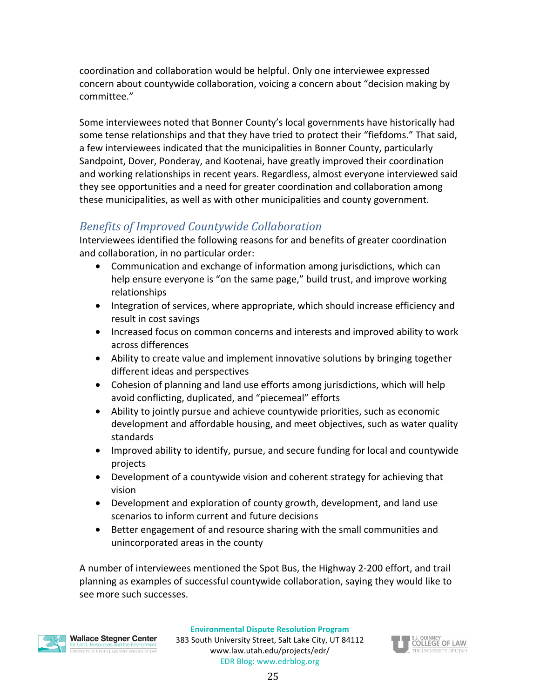coordination and collaboration would be helpful. Only one interviewee expressed concern about countywide collaboration, voicing a concern about "decision making by committee."

Some interviewees noted that Bonner County's local governments have historically had some tense relationships and that they have tried to protect their "fiefdoms." That said, a few interviewees indicated that the municipalities in Bonner County, particularly Sandpoint, Dover, Ponderay, and Kootenai, have greatly improved their coordination and working relationships in recent years. Regardless, almost everyone interviewed said they see opportunities and a need for greater coordination and collaboration among these municipalities, as well as with other municipalities and county government.

### <span id="page-25-0"></span>*Benefits of Improved Countywide Collaboration*

Interviewees identified the following reasons for and benefits of greater coordination and collaboration, in no particular order:

- Communication and exchange of information among jurisdictions, which can help ensure everyone is "on the same page," build trust, and improve working relationships
- Integration of services, where appropriate, which should increase efficiency and result in cost savings
- Increased focus on common concerns and interests and improved ability to work across differences
- Ability to create value and implement innovative solutions by bringing together different ideas and perspectives
- Cohesion of planning and land use efforts among jurisdictions, which will help avoid conflicting, duplicated, and "piecemeal" efforts
- Ability to jointly pursue and achieve countywide priorities, such as economic development and affordable housing, and meet objectives, such as water quality standards
- Improved ability to identify, pursue, and secure funding for local and countywide projects
- Development of a countywide vision and coherent strategy for achieving that vision
- Development and exploration of county growth, development, and land use scenarios to inform current and future decisions
- Better engagement of and resource sharing with the small communities and unincorporated areas in the county

A number of interviewees mentioned the Spot Bus, the Highway 2-200 effort, and trail planning as examples of successful countywide collaboration, saying they would like to see more such successes.



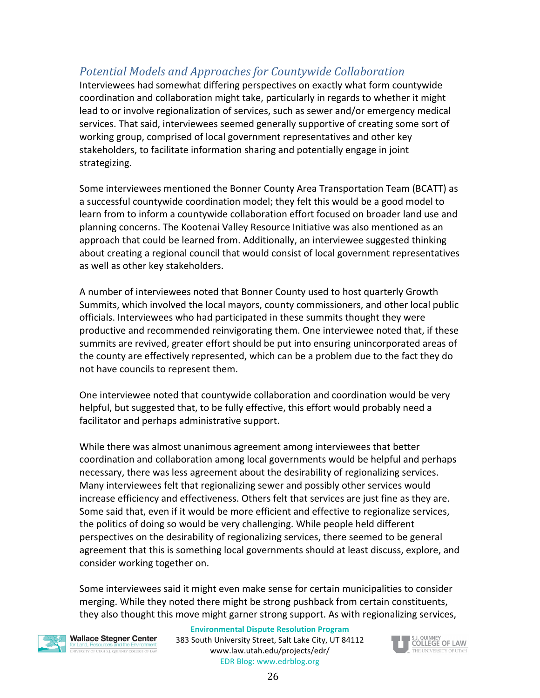## <span id="page-26-0"></span>*Potential Models and Approaches for Countywide Collaboration*

Interviewees had somewhat differing perspectives on exactly what form countywide coordination and collaboration might take, particularly in regards to whether it might lead to or involve regionalization of services, such as sewer and/or emergency medical services. That said, interviewees seemed generally supportive of creating some sort of working group, comprised of local government representatives and other key stakeholders, to facilitate information sharing and potentially engage in joint strategizing.

Some interviewees mentioned the Bonner County Area Transportation Team (BCATT) as a successful countywide coordination model; they felt this would be a good model to learn from to inform a countywide collaboration effort focused on broader land use and planning concerns. The Kootenai Valley Resource Initiative was also mentioned as an approach that could be learned from. Additionally, an interviewee suggested thinking about creating a regional council that would consist of local government representatives as well as other key stakeholders.

A number of interviewees noted that Bonner County used to host quarterly Growth Summits, which involved the local mayors, county commissioners, and other local public officials. Interviewees who had participated in these summits thought they were productive and recommended reinvigorating them. One interviewee noted that, if these summits are revived, greater effort should be put into ensuring unincorporated areas of the county are effectively represented, which can be a problem due to the fact they do not have councils to represent them.

One interviewee noted that countywide collaboration and coordination would be very helpful, but suggested that, to be fully effective, this effort would probably need a facilitator and perhaps administrative support.

While there was almost unanimous agreement among interviewees that better coordination and collaboration among local governments would be helpful and perhaps necessary, there was less agreement about the desirability of regionalizing services. Many interviewees felt that regionalizing sewer and possibly other services would increase efficiency and effectiveness. Others felt that services are just fine as they are. Some said that, even if it would be more efficient and effective to regionalize services, the politics of doing so would be very challenging. While people held different perspectives on the desirability of regionalizing services, there seemed to be general agreement that this is something local governments should at least discuss, explore, and consider working together on.

Some interviewees said it might even make sense for certain municipalities to consider merging. While they noted there might be strong pushback from certain constituents, they also thought this move might garner strong support. As with regionalizing services,



**Wallace Stegner Center** ERSITY OF UTAH S.I. QUINNEY COLLEGE OF LAV

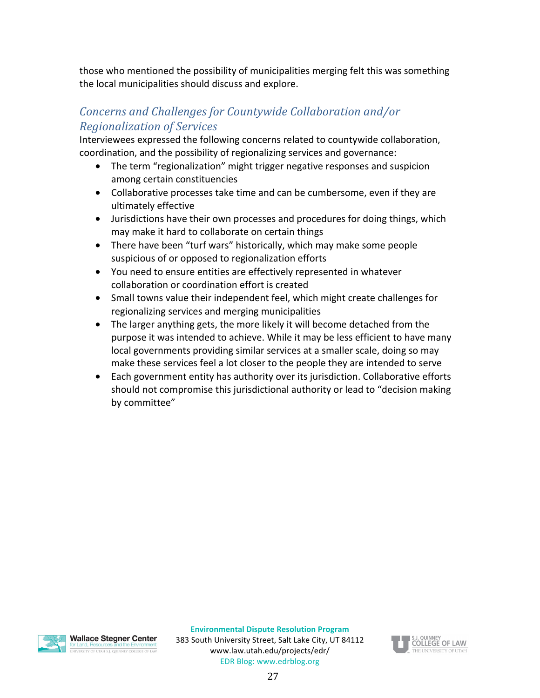those who mentioned the possibility of municipalities merging felt this was something the local municipalities should discuss and explore.

#### <span id="page-27-0"></span>*Concerns and Challenges for Countywide Collaboration and/or Regionalization of Services*

Interviewees expressed the following concerns related to countywide collaboration, coordination, and the possibility of regionalizing services and governance:

- The term "regionalization" might trigger negative responses and suspicion among certain constituencies
- Collaborative processes take time and can be cumbersome, even if they are ultimately effective
- Jurisdictions have their own processes and procedures for doing things, which may make it hard to collaborate on certain things
- There have been "turf wars" historically, which may make some people suspicious of or opposed to regionalization efforts
- You need to ensure entities are effectively represented in whatever collaboration or coordination effort is created
- Small towns value their independent feel, which might create challenges for regionalizing services and merging municipalities
- The larger anything gets, the more likely it will become detached from the purpose it was intended to achieve. While it may be less efficient to have many local governments providing similar services at a smaller scale, doing so may make these services feel a lot closer to the people they are intended to serve
- Each government entity has authority over its jurisdiction. Collaborative efforts should not compromise this jurisdictional authority or lead to "decision making by committee"



**Wallace Stegner Center** INIVERSITY OF LITAH S.L. OLINNEY COLLEGE OF LAN